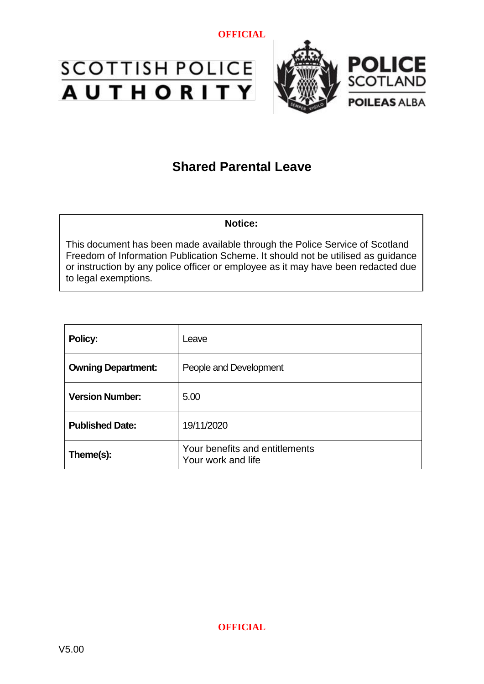



# **Shared Parental Leave**

#### **Notice:**

This document has been made available through the Police Service of Scotland Freedom of Information Publication Scheme. It should not be utilised as guidance or instruction by any police officer or employee as it may have been redacted due to legal exemptions.

| Policy:                   | Leave                                                |
|---------------------------|------------------------------------------------------|
| <b>Owning Department:</b> | People and Development                               |
| <b>Version Number:</b>    | 5.00                                                 |
| <b>Published Date:</b>    | 19/11/2020                                           |
| Theme(s):                 | Your benefits and entitlements<br>Your work and life |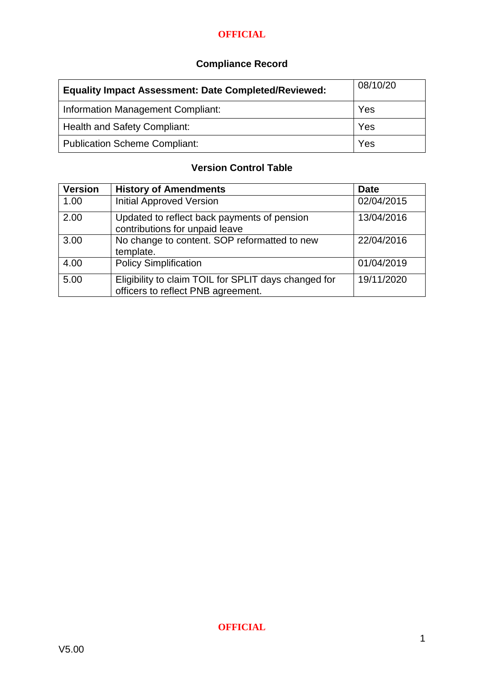## **Compliance Record**

| <b>Equality Impact Assessment: Date Completed/Reviewed:</b> | 08/10/20 |
|-------------------------------------------------------------|----------|
| <b>Information Management Compliant:</b>                    | Yes      |
| <b>Health and Safety Compliant:</b>                         | Yes      |
| <b>Publication Scheme Compliant:</b>                        | Yes      |

#### **Version Control Table**

| <b>Version</b> | <b>History of Amendments</b>                                                               | <b>Date</b> |
|----------------|--------------------------------------------------------------------------------------------|-------------|
| 1.00           | <b>Initial Approved Version</b>                                                            | 02/04/2015  |
| 2.00           | Updated to reflect back payments of pension<br>contributions for unpaid leave              | 13/04/2016  |
| 3.00           | No change to content. SOP reformatted to new<br>template.                                  | 22/04/2016  |
| 4.00           | <b>Policy Simplification</b>                                                               | 01/04/2019  |
| 5.00           | Eligibility to claim TOIL for SPLIT days changed for<br>officers to reflect PNB agreement. | 19/11/2020  |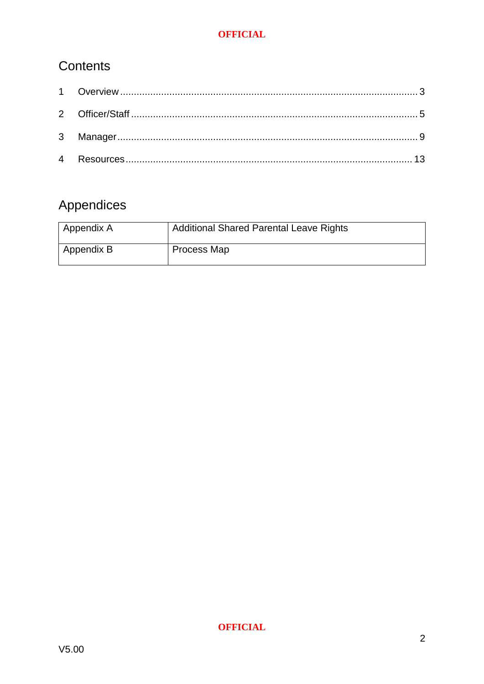# Contents

# Appendices

| ' Appendix A | <b>Additional Shared Parental Leave Rights</b> |
|--------------|------------------------------------------------|
| Appendix B   | Process Map                                    |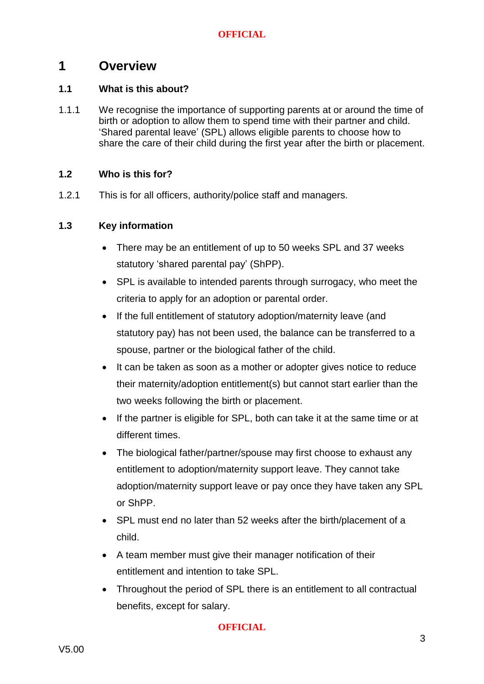#### <span id="page-3-0"></span>**1 Overview**

#### **1.1 What is this about?**

1.1.1 We recognise the importance of supporting parents at or around the time of birth or adoption to allow them to spend time with their partner and child. 'Shared parental leave' (SPL) allows eligible parents to choose how to share the care of their child during the first year after the birth or placement.

#### **1.2 Who is this for?**

1.2.1 This is for all officers, authority/police staff and managers.

#### **1.3 Key information**

- There may be an entitlement of up to 50 weeks SPL and 37 weeks statutory 'shared parental pay' (ShPP).
- SPL is available to intended parents through surrogacy, who meet the criteria to apply for an adoption or parental order.
- If the full entitlement of statutory adoption/maternity leave (and statutory pay) has not been used, the balance can be transferred to a spouse, partner or the biological father of the child.
- It can be taken as soon as a mother or adopter gives notice to reduce their maternity/adoption entitlement(s) but cannot start earlier than the two weeks following the birth or placement.
- If the partner is eligible for SPL, both can take it at the same time or at different times.
- The biological father/partner/spouse may first choose to exhaust any entitlement to adoption/maternity support leave. They cannot take adoption/maternity support leave or pay once they have taken any SPL or ShPP.
- SPL must end no later than 52 weeks after the birth/placement of a child.
- A team member must give their manager notification of their entitlement and intention to take SPL.
- Throughout the period of SPL there is an entitlement to all contractual benefits, except for salary.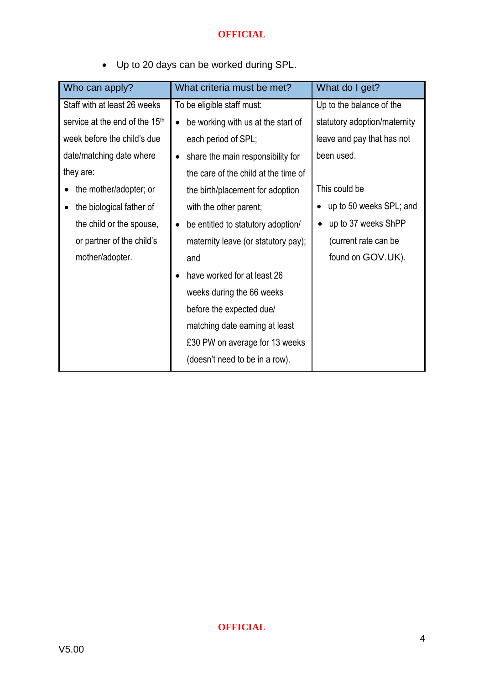|  |  | Up to 20 days can be worked during SPL. |  |  |  |  |
|--|--|-----------------------------------------|--|--|--|--|
|--|--|-----------------------------------------|--|--|--|--|

| Who can apply?                             | What criteria must be met?           | What do I get?               |
|--------------------------------------------|--------------------------------------|------------------------------|
| Staff with at least 26 weeks               | To be eligible staff must:           | Up to the balance of the     |
| service at the end of the 15 <sup>th</sup> | be working with us at the start of   | statutory adoption/maternity |
| week before the child's due                | each period of SPL;                  | leave and pay that has not   |
| date/matching date where                   | share the main responsibility for    | been used.                   |
| they are:                                  | the care of the child at the time of |                              |
| the mother/adopter; or                     | the birth/placement for adoption     | This could be                |
| the biological father of<br>$\bullet$      | with the other parent;               | up to 50 weeks SPL; and      |
| the child or the spouse,                   | be entitled to statutory adoption/   | up to 37 weeks ShPP          |
| or partner of the child's                  | maternity leave (or statutory pay);  | (current rate can be         |
| mother/adopter.                            | and                                  | found on GOV.UK).            |
|                                            | have worked for at least 26          |                              |
|                                            | weeks during the 66 weeks            |                              |
|                                            | before the expected due/             |                              |
|                                            | matching date earning at least       |                              |
|                                            | £30 PW on average for 13 weeks       |                              |
|                                            | (doesn't need to be in a row).       |                              |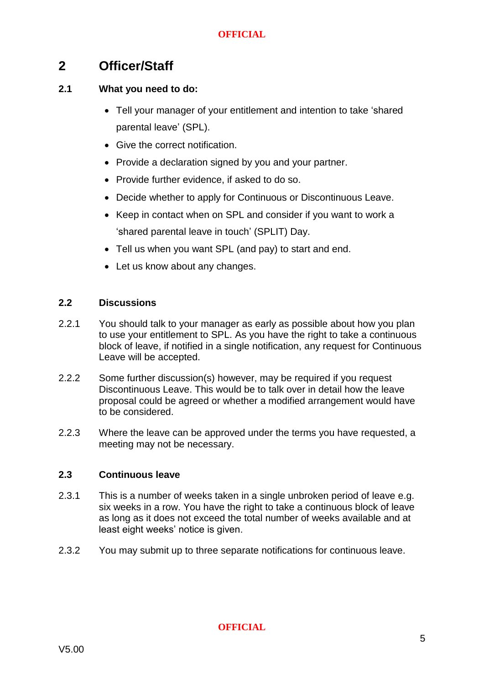## <span id="page-5-0"></span>**2 Officer/Staff**

#### **2.1 What you need to do:**

- Tell your manager of your entitlement and intention to take 'shared parental leave' (SPL).
- Give the correct notification.
- Provide a declaration signed by you and your partner.
- Provide further evidence, if asked to do so.
- Decide whether to apply for Continuous or Discontinuous Leave.
- Keep in contact when on SPL and consider if you want to work a 'shared parental leave in touch' (SPLIT) Day.
- Tell us when you want SPL (and pay) to start and end.
- Let us know about any changes.

#### **2.2 Discussions**

- 2.2.1 You should talk to your manager as early as possible about how you plan to use your entitlement to SPL. As you have the right to take a continuous block of leave, if notified in a single notification, any request for Continuous Leave will be accepted.
- 2.2.2 Some further discussion(s) however, may be required if you request Discontinuous Leave. This would be to talk over in detail how the leave proposal could be agreed or whether a modified arrangement would have to be considered.
- 2.2.3 Where the leave can be approved under the terms you have requested, a meeting may not be necessary.

#### **2.3 Continuous leave**

- 2.3.1 This is a number of weeks taken in a single unbroken period of leave e.g. six weeks in a row. You have the right to take a continuous block of leave as long as it does not exceed the total number of weeks available and at least eight weeks' notice is given.
- 2.3.2 You may submit up to three separate notifications for continuous leave.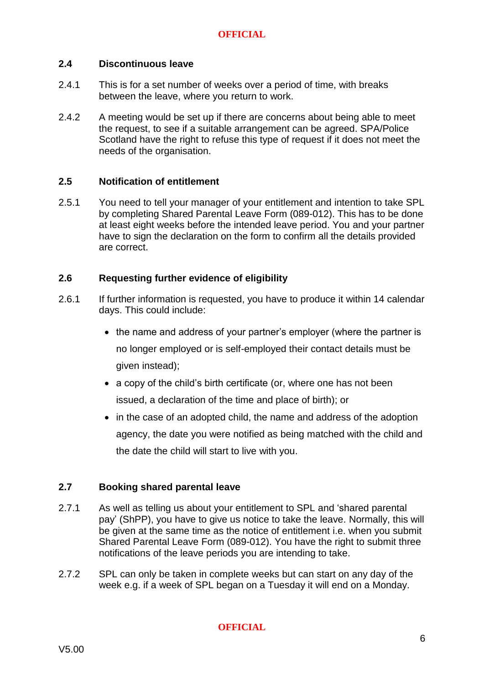#### **2.4 Discontinuous leave**

- 2.4.1 This is for a set number of weeks over a period of time, with breaks between the leave, where you return to work.
- 2.4.2 A meeting would be set up if there are concerns about being able to meet the request, to see if a suitable arrangement can be agreed. SPA/Police Scotland have the right to refuse this type of request if it does not meet the needs of the organisation.

#### **2.5 Notification of entitlement**

2.5.1 You need to tell your manager of your entitlement and intention to take SPL by completing Shared Parental Leave Form (089-012). This has to be done at least eight weeks before the intended leave period. You and your partner have to sign the declaration on the form to confirm all the details provided are correct.

#### **2.6 Requesting further evidence of eligibility**

- 2.6.1 If further information is requested, you have to produce it within 14 calendar days. This could include:
	- the name and address of your partner's employer (where the partner is no longer employed or is self-employed their contact details must be given instead);
	- a copy of the child's birth certificate (or, where one has not been issued, a declaration of the time and place of birth); or
	- in the case of an adopted child, the name and address of the adoption agency, the date you were notified as being matched with the child and the date the child will start to live with you.

#### **2.7 Booking shared parental leave**

- 2.7.1 As well as telling us about your entitlement to SPL and 'shared parental pay' (ShPP), you have to give us notice to take the leave. Normally, this will be given at the same time as the notice of entitlement i.e. when you submit Shared Parental Leave Form (089-012). You have the right to submit three notifications of the leave periods you are intending to take.
- 2.7.2 SPL can only be taken in complete weeks but can start on any day of the week e.g. if a week of SPL began on a Tuesday it will end on a Monday.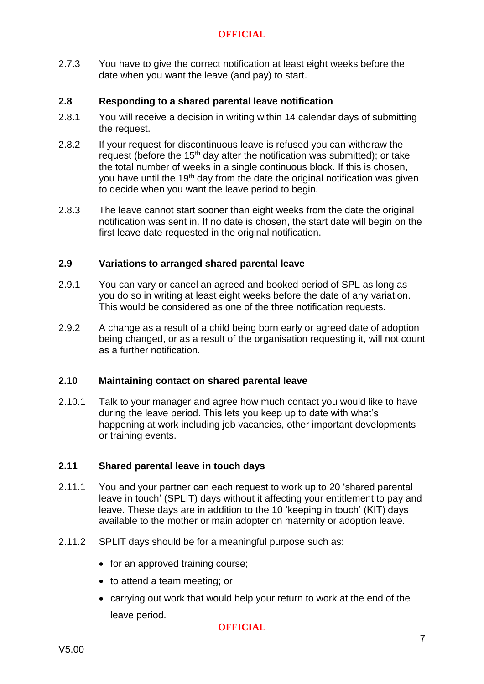2.7.3 You have to give the correct notification at least eight weeks before the date when you want the leave (and pay) to start.

#### **2.8 Responding to a shared parental leave notification**

- 2.8.1 You will receive a decision in writing within 14 calendar days of submitting the request.
- 2.8.2 If your request for discontinuous leave is refused you can withdraw the request (before the  $15<sup>th</sup>$  day after the notification was submitted); or take the total number of weeks in a single continuous block. If this is chosen, you have until the 19<sup>th</sup> day from the date the original notification was given to decide when you want the leave period to begin.
- 2.8.3 The leave cannot start sooner than eight weeks from the date the original notification was sent in. If no date is chosen, the start date will begin on the first leave date requested in the original notification.

#### **2.9 Variations to arranged shared parental leave**

- 2.9.1 You can vary or cancel an agreed and booked period of SPL as long as you do so in writing at least eight weeks before the date of any variation. This would be considered as one of the three notification requests.
- 2.9.2 A change as a result of a child being born early or agreed date of adoption being changed, or as a result of the organisation requesting it, will not count as a further notification.

#### **2.10 Maintaining contact on shared parental leave**

2.10.1 Talk to your manager and agree how much contact you would like to have during the leave period. This lets you keep up to date with what's happening at work including job vacancies, other important developments or training events.

#### **2.11 Shared parental leave in touch days**

- 2.11.1 You and your partner can each request to work up to 20 'shared parental leave in touch' (SPLIT) days without it affecting your entitlement to pay and leave. These days are in addition to the 10 'keeping in touch' (KIT) days available to the mother or main adopter on maternity or adoption leave.
- 2.11.2 SPLIT days should be for a meaningful purpose such as:
	- for an approved training course;
	- to attend a team meeting; or
	- carrying out work that would help your return to work at the end of the leave period.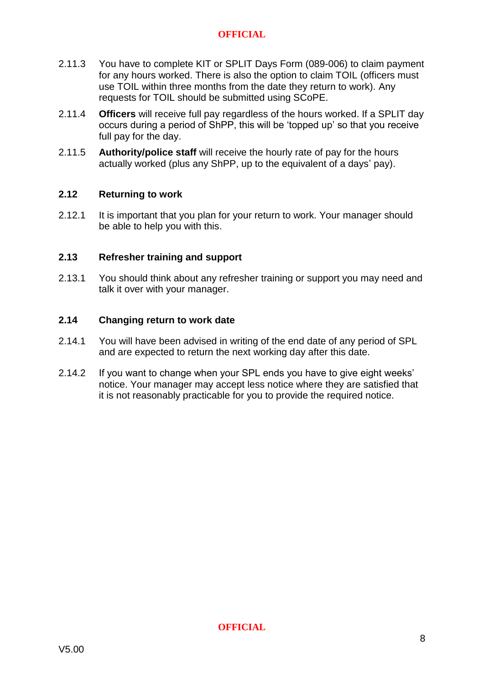- 2.11.3 You have to complete KIT or SPLIT Days Form (089-006) to claim payment for any hours worked. There is also the option to claim TOIL (officers must use TOIL within three months from the date they return to work). Any requests for TOIL should be submitted using SCoPE.
- 2.11.4 **Officers** will receive full pay regardless of the hours worked. If a SPLIT day occurs during a period of ShPP, this will be 'topped up' so that you receive full pay for the day.
- 2.11.5 **Authority/police staff** will receive the hourly rate of pay for the hours actually worked (plus any ShPP, up to the equivalent of a days' pay).

#### **2.12 Returning to work**

2.12.1 It is important that you plan for your return to work. Your manager should be able to help you with this.

#### **2.13 Refresher training and support**

2.13.1 You should think about any refresher training or support you may need and talk it over with your manager.

#### **2.14 Changing return to work date**

- 2.14.1 You will have been advised in writing of the end date of any period of SPL and are expected to return the next working day after this date.
- 2.14.2 If you want to change when your SPL ends you have to give eight weeks' notice. Your manager may accept less notice where they are satisfied that it is not reasonably practicable for you to provide the required notice.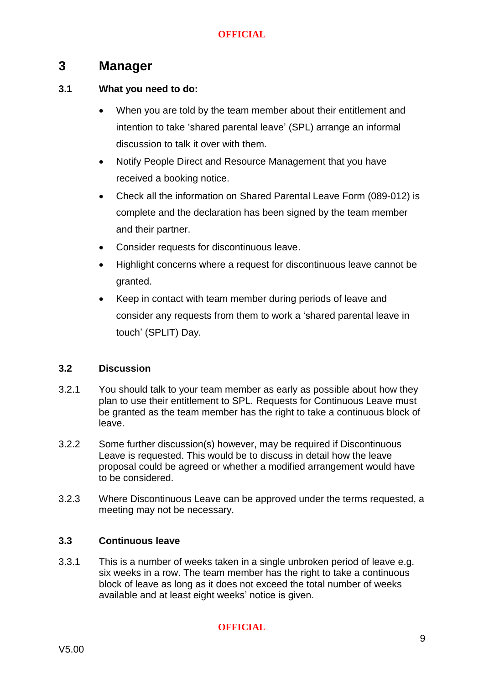## <span id="page-9-0"></span>**3 Manager**

#### **3.1 What you need to do:**

- When you are told by the team member about their entitlement and intention to take 'shared parental leave' (SPL) arrange an informal discussion to talk it over with them.
- Notify People Direct and Resource Management that you have received a booking notice.
- Check all the information on Shared Parental Leave Form (089-012) is complete and the declaration has been signed by the team member and their partner.
- Consider requests for discontinuous leave.
- Highlight concerns where a request for discontinuous leave cannot be granted.
- Keep in contact with team member during periods of leave and consider any requests from them to work a 'shared parental leave in touch' (SPLIT) Day.

#### **3.2 Discussion**

- 3.2.1 You should talk to your team member as early as possible about how they plan to use their entitlement to SPL. Requests for Continuous Leave must be granted as the team member has the right to take a continuous block of leave.
- 3.2.2 Some further discussion(s) however, may be required if Discontinuous Leave is requested. This would be to discuss in detail how the leave proposal could be agreed or whether a modified arrangement would have to be considered.
- 3.2.3 Where Discontinuous Leave can be approved under the terms requested, a meeting may not be necessary.

#### **3.3 Continuous leave**

3.3.1 This is a number of weeks taken in a single unbroken period of leave e.g. six weeks in a row. The team member has the right to take a continuous block of leave as long as it does not exceed the total number of weeks available and at least eight weeks' notice is given.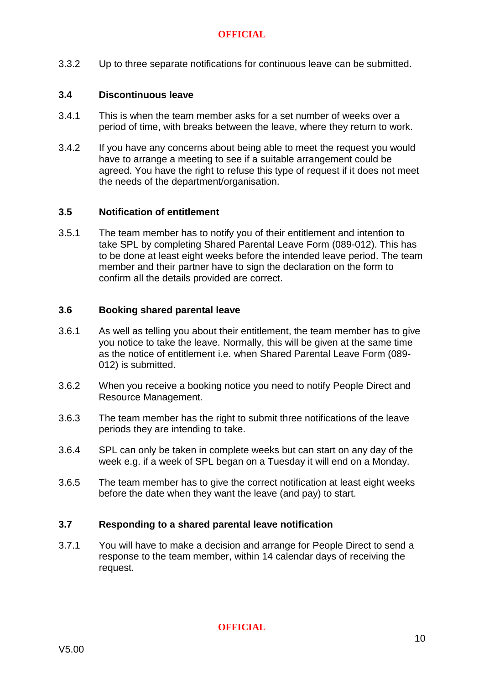3.3.2 Up to three separate notifications for continuous leave can be submitted.

#### **3.4 Discontinuous leave**

- 3.4.1 This is when the team member asks for a set number of weeks over a period of time, with breaks between the leave, where they return to work.
- 3.4.2 If you have any concerns about being able to meet the request you would have to arrange a meeting to see if a suitable arrangement could be agreed. You have the right to refuse this type of request if it does not meet the needs of the department/organisation.

#### **3.5 Notification of entitlement**

3.5.1 The team member has to notify you of their entitlement and intention to take SPL by completing Shared Parental Leave Form (089-012). This has to be done at least eight weeks before the intended leave period. The team member and their partner have to sign the declaration on the form to confirm all the details provided are correct.

#### **3.6 Booking shared parental leave**

- 3.6.1 As well as telling you about their entitlement, the team member has to give you notice to take the leave. Normally, this will be given at the same time as the notice of entitlement i.e. when Shared Parental Leave Form (089- 012) is submitted.
- 3.6.2 When you receive a booking notice you need to notify People Direct and Resource Management.
- 3.6.3 The team member has the right to submit three notifications of the leave periods they are intending to take.
- 3.6.4 SPL can only be taken in complete weeks but can start on any day of the week e.g. if a week of SPL began on a Tuesday it will end on a Monday.
- 3.6.5 The team member has to give the correct notification at least eight weeks before the date when they want the leave (and pay) to start.

#### **3.7 Responding to a shared parental leave notification**

3.7.1 You will have to make a decision and arrange for People Direct to send a response to the team member, within 14 calendar days of receiving the request.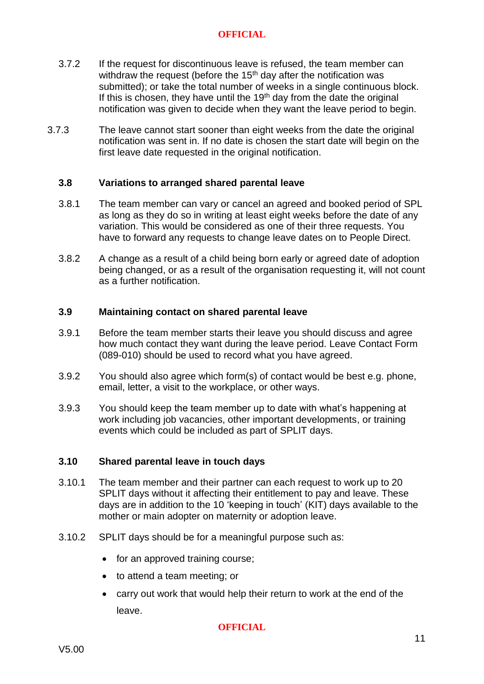- 3.7.2 If the request for discontinuous leave is refused, the team member can withdraw the request (before the  $15<sup>th</sup>$  day after the notification was submitted); or take the total number of weeks in a single continuous block. If this is chosen, they have until the  $19<sup>th</sup>$  day from the date the original notification was given to decide when they want the leave period to begin.
- 3.7.3 The leave cannot start sooner than eight weeks from the date the original notification was sent in. If no date is chosen the start date will begin on the first leave date requested in the original notification.

#### **3.8 Variations to arranged shared parental leave**

- 3.8.1 The team member can vary or cancel an agreed and booked period of SPL as long as they do so in writing at least eight weeks before the date of any variation. This would be considered as one of their three requests. You have to forward any requests to change leave dates on to People Direct.
- 3.8.2 A change as a result of a child being born early or agreed date of adoption being changed, or as a result of the organisation requesting it, will not count as a further notification.

#### **3.9 Maintaining contact on shared parental leave**

- 3.9.1 Before the team member starts their leave you should discuss and agree how much contact they want during the leave period. Leave Contact Form (089-010) should be used to record what you have agreed.
- 3.9.2 You should also agree which form(s) of contact would be best e.g. phone, email, letter, a visit to the workplace, or other ways.
- 3.9.3 You should keep the team member up to date with what's happening at work including job vacancies, other important developments, or training events which could be included as part of SPLIT days.

#### **3.10 Shared parental leave in touch days**

- 3.10.1 The team member and their partner can each request to work up to 20 SPLIT days without it affecting their entitlement to pay and leave. These days are in addition to the 10 'keeping in touch' (KIT) days available to the mother or main adopter on maternity or adoption leave.
- 3.10.2 SPLIT days should be for a meaningful purpose such as:
	- for an approved training course;
	- to attend a team meeting; or
	- carry out work that would help their return to work at the end of the leave.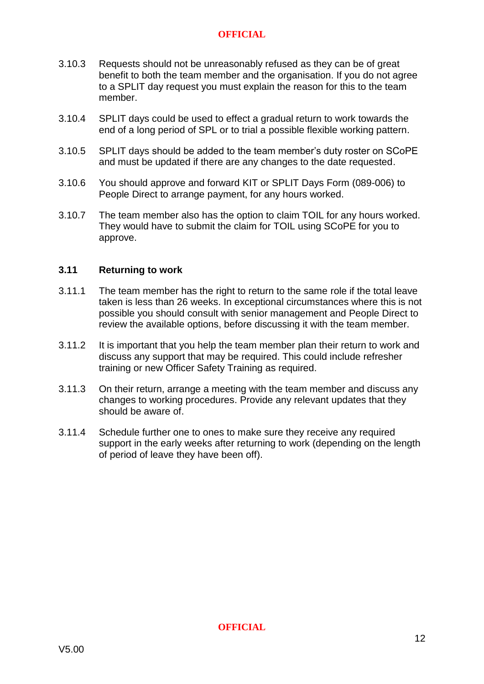- 3.10.3 Requests should not be unreasonably refused as they can be of great benefit to both the team member and the organisation. If you do not agree to a SPLIT day request you must explain the reason for this to the team member.
- 3.10.4 SPLIT days could be used to effect a gradual return to work towards the end of a long period of SPL or to trial a possible flexible working pattern.
- 3.10.5 SPLIT days should be added to the team member's duty roster on SCoPE and must be updated if there are any changes to the date requested.
- 3.10.6 You should approve and forward KIT or SPLIT Days Form (089-006) to People Direct to arrange payment, for any hours worked.
- 3.10.7 The team member also has the option to claim TOIL for any hours worked. They would have to submit the claim for TOIL using SCoPE for you to approve.

#### **3.11 Returning to work**

- 3.11.1 The team member has the right to return to the same role if the total leave taken is less than 26 weeks. In exceptional circumstances where this is not possible you should consult with senior management and People Direct to review the available options, before discussing it with the team member.
- 3.11.2 It is important that you help the team member plan their return to work and discuss any support that may be required. This could include refresher training or new Officer Safety Training as required.
- 3.11.3 On their return, arrange a meeting with the team member and discuss any changes to working procedures. Provide any relevant updates that they should be aware of.
- 3.11.4 Schedule further one to ones to make sure they receive any required support in the early weeks after returning to work (depending on the length of period of leave they have been off).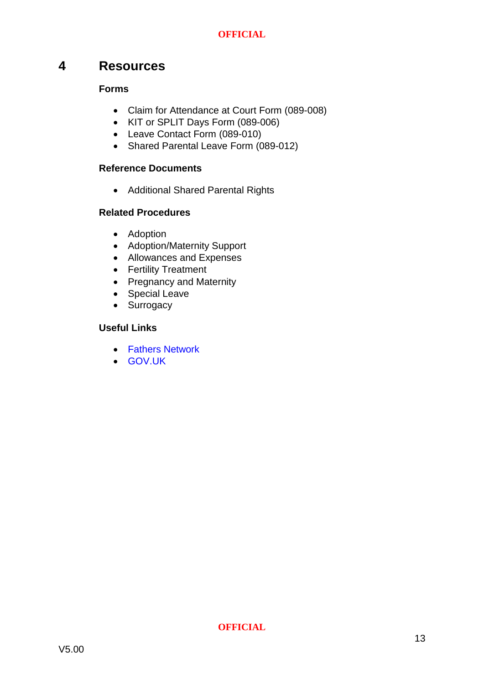#### <span id="page-13-0"></span>**4 Resources**

#### **Forms**

- Claim for Attendance at Court Form [\(089-008\)](https://spi.spnet.local/policescotland/guidance/_layouts/DocIdRedir.aspx?ID=PSOS-255-17933)
- KIT or SPLIT Days Form [\(089-006\)](https://spi.spnet.local/policescotland/guidance/Force%20Forms/Forms/PS-Number.aspx?Paged=TRUE&p_GroupCol1=8_All%20Police%20Scotland%20Forms%20Beginning%20With%20Reference%20%27045%27&RootFolder=%2fpolicescotland%2fguidance%2fForce%20Forms%2fPolice%2dScotland&PageFirstRow=31&&View=%7b7D5061C2-19F5-4B91-B178-C5FBD8CA7E42%7d)
- Leave Contact Form (089-010)
- [Shared Parental Leave Form \(089-012\)](https://spi.spnet.local/policescotland/guidance/Force%20Forms/Police-Scotland/Notice%20of%20Entitlement%20and%20Intention%20to%20Take%20Shared%20Parental%20Leave.doc)

#### **Reference Documents**

Additional Shared Parental Rights

#### **Related Procedures**

- Adoption
- Adoption/Maternity Support
- Allowances and Expenses
- Fertility Treatment
- Pregnancy and Maternity
- Special Leave
- Surrogacy

#### **Useful Links**

- [Fathers Network](http://www.fathersnetwork.org.uk/employers)
- [GOV.UK](https://www.gov.uk/shared-parental-leave-and-pay)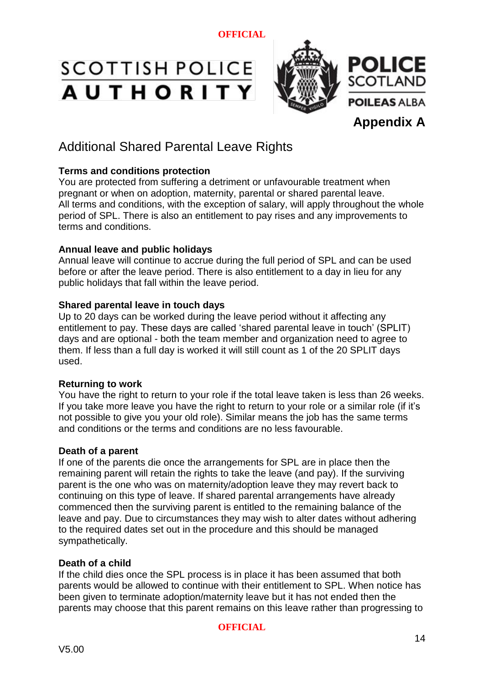# SCOTTISH POLICE **AUTHORITY**



# Additional Shared Parental Leave Rights

#### **Terms and conditions protection**

You are protected from suffering a detriment or unfavourable treatment when pregnant or when on adoption, maternity, parental or shared parental leave. All terms and conditions, with the exception of salary, will apply throughout the whole period of SPL. There is also an entitlement to pay rises and any improvements to terms and conditions.

#### **Annual leave and public holidays**

Annual leave will continue to accrue during the full period of SPL and can be used before or after the leave period. There is also entitlement to a day in lieu for any public holidays that fall within the leave period.

#### **Shared parental leave in touch days**

Up to 20 days can be worked during the leave period without it affecting any entitlement to pay. These days are called 'shared parental leave in touch' (SPLIT) days and are optional - both the team member and organization need to agree to them. If less than a full day is worked it will still count as 1 of the 20 SPLIT days used.

#### **Returning to work**

You have the right to return to your role if the total leave taken is less than 26 weeks. If you take more leave you have the right to return to your role or a similar role (if it's not possible to give you your old role). Similar means the job has the same terms and conditions or the terms and conditions are no less favourable.

#### **Death of a parent**

If one of the parents die once the arrangements for SPL are in place then the remaining parent will retain the rights to take the leave (and pay). If the surviving parent is the one who was on maternity/adoption leave they may revert back to continuing on this type of leave. If shared parental arrangements have already commenced then the surviving parent is entitled to the remaining balance of the leave and pay. Due to circumstances they may wish to alter dates without adhering to the required dates set out in the procedure and this should be managed sympathetically.

#### **Death of a child**

If the child dies once the SPL process is in place it has been assumed that both parents would be allowed to continue with their entitlement to SPL. When notice has been given to terminate adoption/maternity leave but it has not ended then the parents may choose that this parent remains on this leave rather than progressing to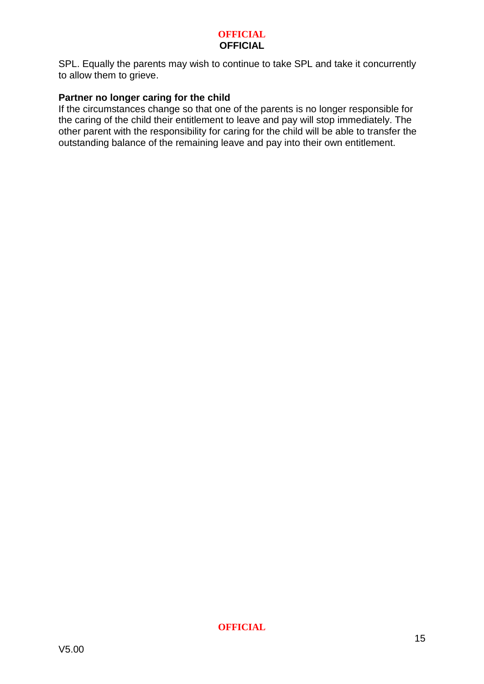#### **OFFICIAL OFFICIAL**

SPL. Equally the parents may wish to continue to take SPL and take it concurrently to allow them to grieve.

#### **Partner no longer caring for the child**

If the circumstances change so that one of the parents is no longer responsible for the caring of the child their entitlement to leave and pay will stop immediately. The other parent with the responsibility for caring for the child will be able to transfer the outstanding balance of the remaining leave and pay into their own entitlement.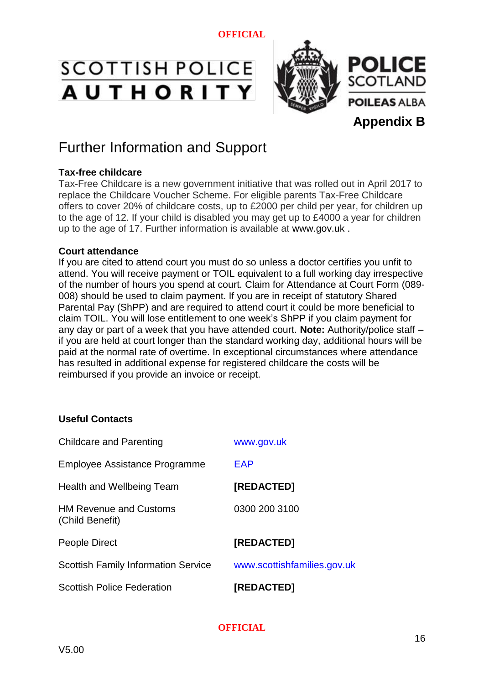# SCOTTISH POLICE **AUTHORITY**



# Further Information and Support

#### **Tax-free childcare**

Tax-Free Childcare is a new government initiative that was rolled out in April 2017 to replace the Childcare Voucher Scheme. For eligible parents Tax-Free Childcare offers to cover 20% of childcare costs, up to £2000 per child per year, for children up to the age of 12. If your child is disabled you may get up to £4000 a year for children up to the age of 17. Further information is available at [www.gov.uk](http://www.gov.uk/) .

#### **Court attendance**

If you are cited to attend court you must do so unless a doctor certifies you unfit to attend. You will receive payment or TOIL equivalent to a full working day irrespective of the number of hours you spend at court. Claim for Attendance at Court Form [\(089-](https://spi.spnet.local/policescotland/guidance/_layouts/DocIdRedir.aspx?ID=PSOS-255-17933) [008\)](https://spi.spnet.local/policescotland/guidance/_layouts/DocIdRedir.aspx?ID=PSOS-255-17933) should be used to claim payment. If you are in receipt of statutory Shared Parental Pay (ShPP) and are required to attend court it could be more beneficial to claim TOIL. You will lose entitlement to one week's ShPP if you claim payment for any day or part of a week that you have attended court. **Note:** Authority/police staff – if you are held at court longer than the standard working day, additional hours will be paid at the normal rate of overtime. In exceptional circumstances where attendance has resulted in additional expense for registered childcare the costs will be reimbursed if you provide an invoice or receipt.

#### **Useful Contacts**

| <b>Childcare and Parenting</b>                   | www.gov.uk                  |
|--------------------------------------------------|-----------------------------|
| Employee Assistance Programme                    | EAP                         |
| Health and Wellbeing Team                        | [REDACTED]                  |
| <b>HM Revenue and Customs</b><br>(Child Benefit) | 0300 200 3100               |
| People Direct                                    | <b>[REDACTED]</b>           |
| <b>Scottish Family Information Service</b>       | www.scottishfamilies.gov.uk |
| <b>Scottish Police Federation</b>                | [REDACTED]                  |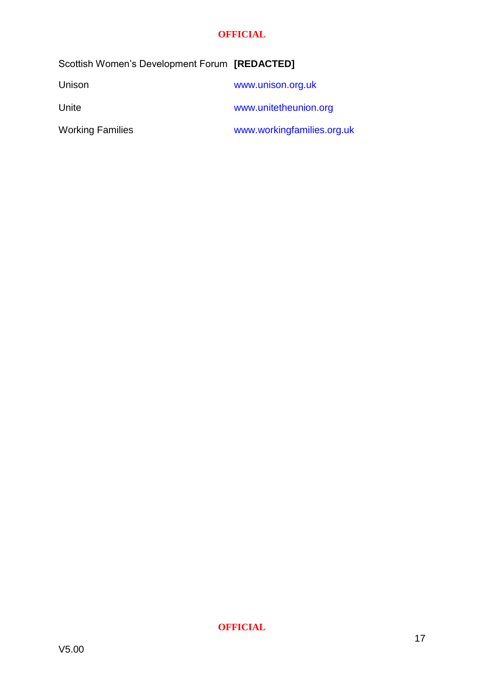| Scottish Women's Development Forum [REDACTED] |                            |
|-----------------------------------------------|----------------------------|
| Unison                                        | www.unison.org.uk          |
| Unite                                         | www.unitetheunion.org      |
| <b>Working Families</b>                       | www.workingfamilies.org.uk |